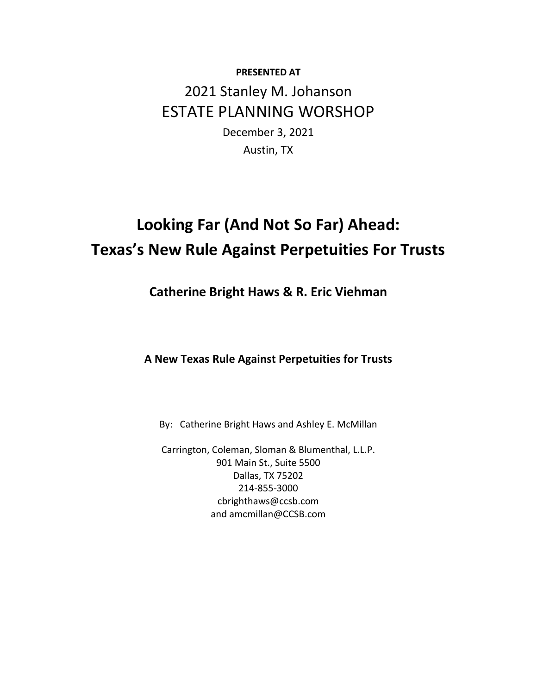## **PRESENTED AT** 2021 Stanley M. Johanson ESTATE PLANNING WORSHOP

December 3, 2021 Austin, TX

# **Looking Far (And Not So Far) Ahead: Texas's New Rule Against Perpetuities For Trusts**

**Catherine Bright Haws & R. Eric Viehman**

**A New Texas Rule Against Perpetuities for Trusts**

By: Catherine Bright Haws and Ashley E. McMillan

Carrington, Coleman, Sloman & Blumenthal, L.L.P. 901 Main St., Suite 5500 Dallas, TX 75202 214‐855‐3000 cbrighthaws@ccsb.com and amcmillan@CCSB.com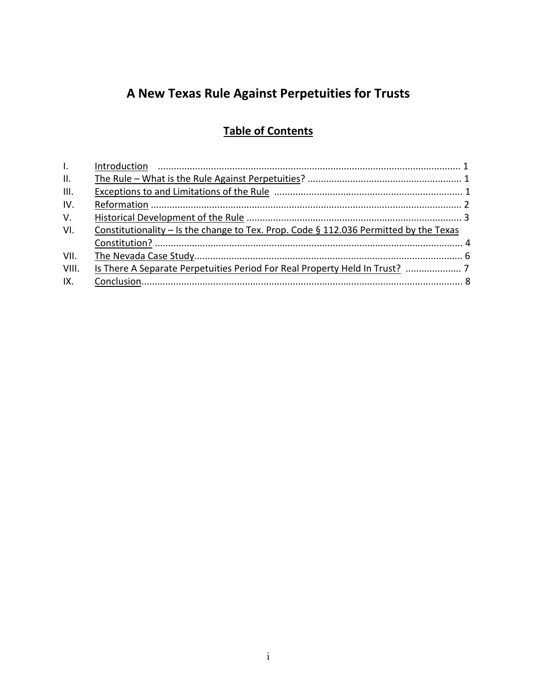## **A New Texas Rule Against Perpetuities for Trusts**

### **Table of Contents**

| $\mathbf{L}$ |                                                                                          |  |
|--------------|------------------------------------------------------------------------------------------|--|
| II.          |                                                                                          |  |
| III.         |                                                                                          |  |
| IV.          |                                                                                          |  |
| V.           |                                                                                          |  |
| VI.          | Constitutionality – Is the change to Tex. Prop. Code $\S$ 112.036 Permitted by the Texas |  |
|              |                                                                                          |  |
| VII.         |                                                                                          |  |
| VIII.        |                                                                                          |  |
| IX.          |                                                                                          |  |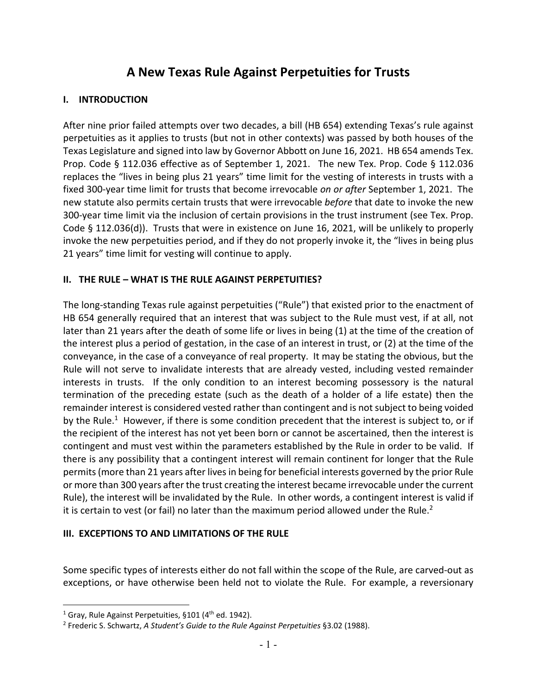### **A New Texas Rule Against Perpetuities for Trusts**

#### **I. INTRODUCTION**

After nine prior failed attempts over two decades, a bill (HB 654) extending Texas's rule against perpetuities as it applies to trusts (but not in other contexts) was passed by both houses of the Texas Legislature and signed into law by Governor Abbott on June 16, 2021. HB 654 amends Tex. Prop. Code § 112.036 effective as of September 1, 2021. The new Tex. Prop. Code § 112.036 replaces the "lives in being plus 21 years" time limit for the vesting of interests in trusts with a fixed 300‐year time limit for trusts that become irrevocable *on or after* September 1, 2021. The new statute also permits certain trusts that were irrevocable *before* that date to invoke the new 300‐year time limit via the inclusion of certain provisions in the trust instrument (see Tex. Prop. Code § 112.036(d)). Trusts that were in existence on June 16, 2021, will be unlikely to properly invoke the new perpetuities period, and if they do not properly invoke it, the "lives in being plus 21 years" time limit for vesting will continue to apply.

#### **II. THE RULE – WHAT IS THE RULE AGAINST PERPETUITIES?**

The long‐standing Texas rule against perpetuities ("Rule") that existed prior to the enactment of HB 654 generally required that an interest that was subject to the Rule must vest, if at all, not later than 21 years after the death of some life or lives in being (1) at the time of the creation of the interest plus a period of gestation, in the case of an interest in trust, or (2) at the time of the conveyance, in the case of a conveyance of real property. It may be stating the obvious, but the Rule will not serve to invalidate interests that are already vested, including vested remainder interests in trusts. If the only condition to an interest becoming possessory is the natural termination of the preceding estate (such as the death of a holder of a life estate) then the remainder interest is considered vested rather than contingent and is notsubject to being voided by the Rule.<sup>1</sup> However, if there is some condition precedent that the interest is subject to, or if the recipient of the interest has not yet been born or cannot be ascertained, then the interest is contingent and must vest within the parameters established by the Rule in order to be valid. If there is any possibility that a contingent interest will remain continent for longer that the Rule permits (more than 21 years after lives in being for beneficial interests governed by the prior Rule or more than 300 years after the trust creating the interest became irrevocable under the current Rule), the interest will be invalidated by the Rule. In other words, a contingent interest is valid if it is certain to vest (or fail) no later than the maximum period allowed under the Rule.<sup>2</sup>

#### **III. EXCEPTIONS TO AND LIMITATIONS OF THE RULE**

Some specific types of interests either do not fall within the scope of the Rule, are carved‐out as exceptions, or have otherwise been held not to violate the Rule. For example, a reversionary

<sup>&</sup>lt;sup>1</sup> Gray, Rule Against Perpetuities, §101 ( $4<sup>th</sup>$  ed. 1942).

<sup>2</sup> Frederic S. Schwartz, *A Student's Guide to the Rule Against Perpetuities* §3.02 (1988).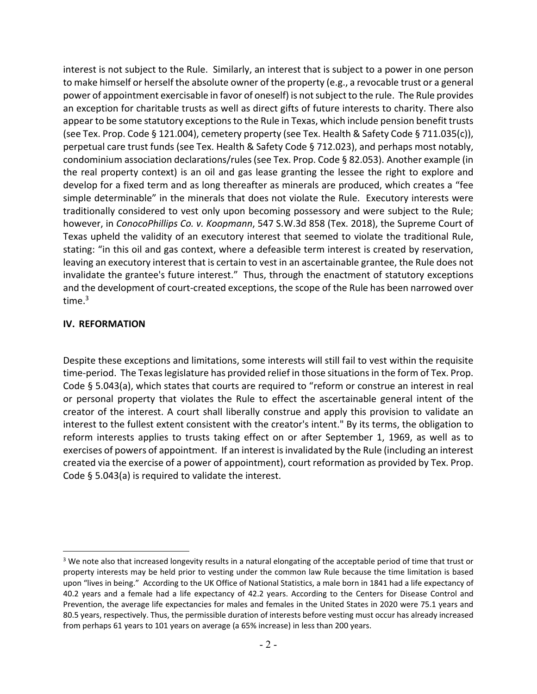interest is not subject to the Rule. Similarly, an interest that is subject to a power in one person to make himself or herself the absolute owner of the property (e.g., a revocable trust or a general power of appointment exercisable in favor of oneself) is notsubject to the rule. The Rule provides an exception for charitable trusts as well as direct gifts of future interests to charity. There also appear to be some statutory exceptions to the Rule in Texas, which include pension benefit trusts (see Tex. Prop. Code § 121.004), cemetery property (see Tex. Health & Safety Code § 711.035(c)), perpetual care trust funds (see Tex. Health & Safety Code § 712.023), and perhaps most notably, condominium association declarations/rules(see Tex. Prop. Code § 82.053). Another example (in the real property context) is an oil and gas lease granting the lessee the right to explore and develop for a fixed term and as long thereafter as minerals are produced, which creates a "fee simple determinable" in the minerals that does not violate the Rule. Executory interests were traditionally considered to vest only upon becoming possessory and were subject to the Rule; however, in *ConocoPhillips Co. v. Koopmann*, 547 S.W.3d 858 (Tex. 2018), the Supreme Court of Texas upheld the validity of an executory interest that seemed to violate the traditional Rule, stating: "in this oil and gas context, where a defeasible term interest is created by reservation, leaving an executory interest that is certain to vest in an ascertainable grantee, the Rule does not invalidate the grantee's future interest." Thus, through the enactment of statutory exceptions and the development of court-created exceptions, the scope of the Rule has been narrowed over time $^3$ 

#### **IV. REFORMATION**

Despite these exceptions and limitations, some interests will still fail to vest within the requisite time-period. The Texas legislature has provided relief in those situations in the form of Tex. Prop. Code § 5.043(a), which states that courts are required to "reform or construe an interest in real or personal property that violates the Rule to effect the ascertainable general intent of the creator of the interest. A court shall liberally construe and apply this provision to validate an interest to the fullest extent consistent with the creator's intent." By its terms, the obligation to reform interests applies to trusts taking effect on or after September 1, 1969, as well as to exercises of powers of appointment. If an interest is invalidated by the Rule (including an interest created via the exercise of a power of appointment), court reformation as provided by Tex. Prop. Code § 5.043(a) is required to validate the interest.

<sup>&</sup>lt;sup>3</sup> We note also that increased longevity results in a natural elongating of the acceptable period of time that trust or property interests may be held prior to vesting under the common law Rule because the time limitation is based upon "lives in being." According to the UK Office of National Statistics, a male born in 1841 had a life expectancy of 40.2 years and a female had a life expectancy of 42.2 years. According to the Centers for Disease Control and Prevention, the average life expectancies for males and females in the United States in 2020 were 75.1 years and 80.5 years, respectively. Thus, the permissible duration of interests before vesting must occur has already increased from perhaps 61 years to 101 years on average (a 65% increase) in less than 200 years.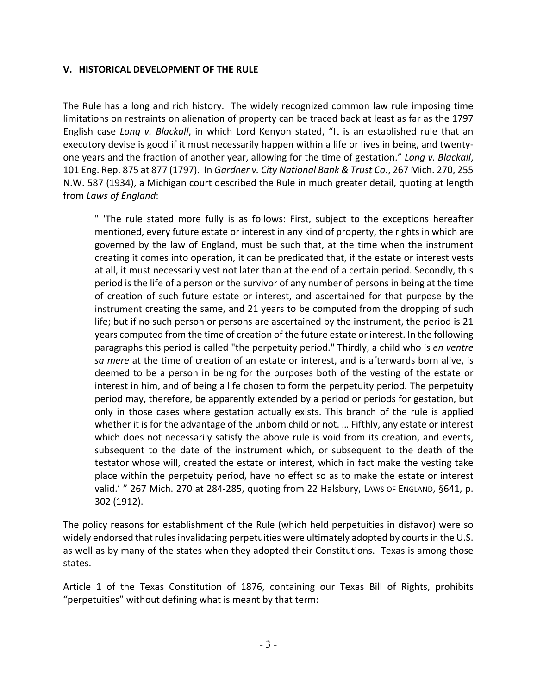#### **V. HISTORICAL DEVELOPMENT OF THE RULE**

The Rule has a long and rich history. The widely recognized common law rule imposing time limitations on restraints on alienation of property can be traced back at least as far as the 1797 English case *Long v. Blackall*, in which Lord Kenyon stated, "It is an established rule that an executory devise is good if it must necessarily happen within a life or lives in being, and twenty‐ one years and the fraction of another year, allowing for the time of gestation." *Long v. Blackall*, 101 Eng. Rep. 875 at 877 (1797). In *Gardner v. City National Bank & Trust Co.*, 267 Mich. 270, 255 N.W. 587 (1934), a Michigan court described the Rule in much greater detail, quoting at length from *Laws of England*:

" 'The rule stated more fully is as follows: First, subject to the exceptions hereafter mentioned, every future estate or interest in any kind of property, the rights in which are governed by the law of England, must be such that, at the time when the instrument creating it comes into operation, it can be predicated that, if the estate or interest vests at all, it must necessarily vest not later than at the end of a certain period. Secondly, this period is the life of a person or the survivor of any number of persons in being at the time of creation of such future estate or interest, and ascertained for that purpose by the instrument creating the same, and 21 years to be computed from the dropping of such life; but if no such person or persons are ascertained by the instrument, the period is 21 years computed from the time of creation of the future estate or interest. In the following paragraphs this period is called "the perpetuity period." Thirdly, a child who is *en ventre sa mere* at the time of creation of an estate or interest, and is afterwards born alive, is deemed to be a person in being for the purposes both of the vesting of the estate or interest in him, and of being a life chosen to form the perpetuity period. The perpetuity period may, therefore, be apparently extended by a period or periods for gestation, but only in those cases where gestation actually exists. This branch of the rule is applied whether it is for the advantage of the unborn child or not. … Fifthly, any estate or interest which does not necessarily satisfy the above rule is void from its creation, and events, subsequent to the date of the instrument which, or subsequent to the death of the testator whose will, created the estate or interest, which in fact make the vesting take place within the perpetuity period, have no effect so as to make the estate or interest valid.' " 267 Mich. 270 at 284-285, quoting from 22 Halsbury, Laws or England, §641, p. 302 (1912).

The policy reasons for establishment of the Rule (which held perpetuities in disfavor) were so widely endorsed that rules invalidating perpetuities were ultimately adopted by courts in the U.S. as well as by many of the states when they adopted their Constitutions. Texas is among those states.

Article 1 of the Texas Constitution of 1876, containing our Texas Bill of Rights, prohibits "perpetuities" without defining what is meant by that term: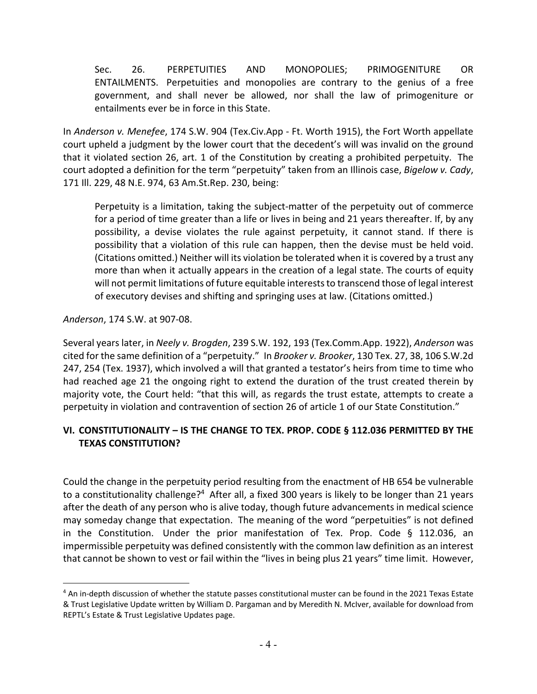Sec. 26. PERPETUITIES AND MONOPOLIES; PRIMOGENITURE OR ENTAILMENTS. Perpetuities and monopolies are contrary to the genius of a free government, and shall never be allowed, nor shall the law of primogeniture or entailments ever be in force in this State.

In *Anderson v. Menefee*, 174 S.W. 904 (Tex.Civ.App ‐ Ft. Worth 1915), the Fort Worth appellate court upheld a judgment by the lower court that the decedent's will was invalid on the ground that it violated section 26, art. 1 of the Constitution by creating a prohibited perpetuity. The court adopted a definition for the term "perpetuity" taken from an Illinois case, *Bigelow v. Cady*, 171 Ill. 229, 48 N.E. 974, 63 Am.St.Rep. 230, being:

Perpetuity is a limitation, taking the subject-matter of the perpetuity out of commerce for a period of time greater than a life or lives in being and 21 years thereafter. If, by any possibility, a devise violates the rule against perpetuity, it cannot stand. If there is possibility that a violation of this rule can happen, then the devise must be held void. (Citations omitted.) Neither will its violation be tolerated when it is covered by a trust any more than when it actually appears in the creation of a legal state. The courts of equity will not permit limitations of future equitable intereststo transcend those of legal interest of executory devises and shifting and springing uses at law. (Citations omitted.)

*Anderson*, 174 S.W. at 907‐08.

Several years later, in *Neely v. Brogden*, 239 S.W. 192, 193 (Tex.Comm.App. 1922), *Anderson* was cited for the same definition of a "perpetuity." In *Brooker v. Brooker*, 130 Tex. 27, 38, 106 S.W.2d 247, 254 (Tex. 1937), which involved a will that granted a testator's heirs from time to time who had reached age 21 the ongoing right to extend the duration of the trust created therein by majority vote, the Court held: "that this will, as regards the trust estate, attempts to create a perpetuity in violation and contravention of section 26 of article 1 of our State Constitution."

#### **VI. CONSTITUTIONALITY – IS THE CHANGE TO TEX. PROP. CODE § 112.036 PERMITTED BY THE TEXAS CONSTITUTION?**

Could the change in the perpetuity period resulting from the enactment of HB 654 be vulnerable to a constitutionality challenge?<sup>4</sup> After all, a fixed 300 years is likely to be longer than 21 years after the death of any person who is alive today, though future advancements in medical science may someday change that expectation. The meaning of the word "perpetuities" is not defined in the Constitution. Under the prior manifestation of Tex. Prop. Code  $\S$  112.036, an impermissible perpetuity was defined consistently with the common law definition as an interest that cannot be shown to vest or fail within the "lives in being plus 21 years" time limit. However,

<sup>4</sup> An in-depth discussion of whether the statute passes constitutional muster can be found in the 2021 Texas Estate & Trust Legislative Update written by William D. Pargaman and by Meredith N. McIver, available for download from REPTL's Estate & Trust Legislative Updates page.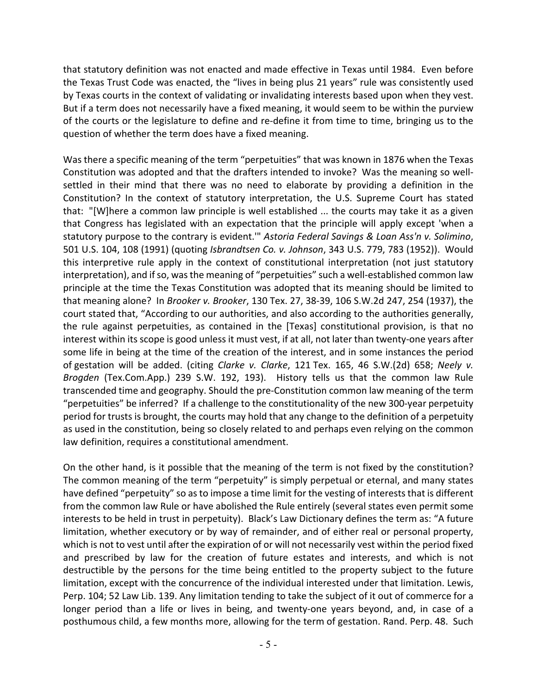that statutory definition was not enacted and made effective in Texas until 1984. Even before the Texas Trust Code was enacted, the "lives in being plus 21 years" rule was consistently used by Texas courts in the context of validating or invalidating interests based upon when they vest. But if a term does not necessarily have a fixed meaning, it would seem to be within the purview of the courts or the legislature to define and re‐define it from time to time, bringing us to the question of whether the term does have a fixed meaning.

Was there a specific meaning of the term "perpetuities" that was known in 1876 when the Texas Constitution was adopted and that the drafters intended to invoke? Was the meaning so well‐ settled in their mind that there was no need to elaborate by providing a definition in the Constitution? In the context of statutory interpretation, the U.S. Supreme Court has stated that: "[W]here a common law principle is well established ... the courts may take it as a given that Congress has legislated with an expectation that the principle will apply except 'when a statutory purpose to the contrary is evident.'" *Astoria Federal Savings & Loan Ass'n v. Solimino*, 501 U.S. 104, 108 (1991) (quoting *Isbrandtsen Co. v. Johnson*, 343 U.S. 779, 783 (1952)). Would this interpretive rule apply in the context of constitutional interpretation (not just statutory interpretation), and if so, was the meaning of "perpetuities" such a well-established common law principle at the time the Texas Constitution was adopted that its meaning should be limited to that meaning alone? In *Brooker v. Brooker*, 130 Tex. 27, 38‐39, 106 S.W.2d 247, 254 (1937), the court stated that, "According to our authorities, and also according to the authorities generally, the rule against perpetuities, as contained in the [Texas] constitutional provision, is that no interest within its scope is good unless it must vest, if at all, not later than twenty‐one years after some life in being at the time of the creation of the interest, and in some instances the period of gestation will be added. (citing *Clarke v. Clarke*, 121 Tex. 165, 46 S.W.(2d) 658; *Neely v. Brogden* (Tex.Com.App.) 239 S.W. 192, 193). History tells us that the common law Rule transcended time and geography. Should the pre‐Constitution common law meaning of the term "perpetuities" be inferred? If a challenge to the constitutionality of the new 300‐year perpetuity period for trusts is brought, the courts may hold that any change to the definition of a perpetuity as used in the constitution, being so closely related to and perhaps even relying on the common law definition, requires a constitutional amendment.

On the other hand, is it possible that the meaning of the term is not fixed by the constitution? The common meaning of the term "perpetuity" is simply perpetual or eternal, and many states have defined "perpetuity" so as to impose a time limit for the vesting of interests that is different from the common law Rule or have abolished the Rule entirely (several states even permit some interests to be held in trust in perpetuity). Black's Law Dictionary defines the term as: "A future limitation, whether executory or by way of remainder, and of either real or personal property, which is not to vest until after the expiration of or will not necessarily vest within the period fixed and prescribed by law for the creation of future estates and interests, and which is not destructible by the persons for the time being entitled to the property subject to the future limitation, except with the concurrence of the individual interested under that limitation. Lewis, Perp. 104; 52 Law Lib. 139. Any limitation tending to take the subject of it out of commerce for a longer period than a life or lives in being, and twenty‐one years beyond, and, in case of a posthumous child, a few months more, allowing for the term of gestation. Rand. Perp. 48. Such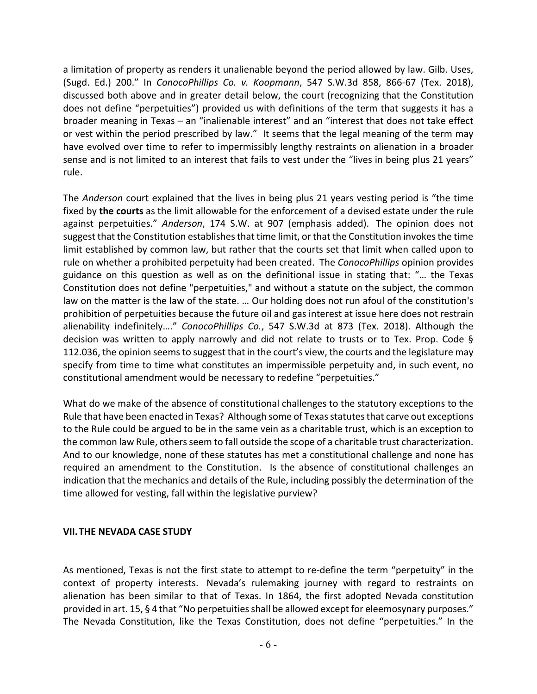a limitation of property as renders it unalienable beyond the period allowed by law. Gilb. Uses, (Sugd. Ed.) 200." In *ConocoPhillips Co. v. Koopmann*, 547 S.W.3d 858, 866‐67 (Tex. 2018), discussed both above and in greater detail below, the court (recognizing that the Constitution does not define "perpetuities") provided us with definitions of the term that suggests it has a broader meaning in Texas – an "inalienable interest" and an "interest that does not take effect or vest within the period prescribed by law." It seems that the legal meaning of the term may have evolved over time to refer to impermissibly lengthy restraints on alienation in a broader sense and is not limited to an interest that fails to vest under the "lives in being plus 21 years" rule.

The *Anderson* court explained that the lives in being plus 21 years vesting period is "the time fixed by **the courts** as the limit allowable for the enforcement of a devised estate under the rule against perpetuities." *Anderson*, 174 S.W. at 907 (emphasis added). The opinion does not suggest that the Constitution establishes that time limit, or that the Constitution invokes the time limit established by common law, but rather that the courts set that limit when called upon to rule on whether a prohibited perpetuity had been created. The *ConocoPhillips* opinion provides guidance on this question as well as on the definitional issue in stating that: "… the Texas Constitution does not define "perpetuities," and without a statute on the subject, the common law on the matter is the law of the state. … Our holding does not run afoul of the constitution's prohibition of perpetuities because the future oil and gas interest at issue here does not restrain alienability indefinitely…." *ConocoPhillips Co.*, 547 S.W.3d at 873 (Tex. 2018). Although the decision was written to apply narrowly and did not relate to trusts or to Tex. Prop. Code § 112.036, the opinion seemsto suggest that in the court's view, the courts and the legislature may specify from time to time what constitutes an impermissible perpetuity and, in such event, no constitutional amendment would be necessary to redefine "perpetuities."

What do we make of the absence of constitutional challenges to the statutory exceptions to the Rule that have been enacted in Texas? Although some of Texas statutes that carve out exceptions to the Rule could be argued to be in the same vein as a charitable trust, which is an exception to the common law Rule, others seem to fall outside the scope of a charitable trust characterization. And to our knowledge, none of these statutes has met a constitutional challenge and none has required an amendment to the Constitution. Is the absence of constitutional challenges an indication that the mechanics and details of the Rule, including possibly the determination of the time allowed for vesting, fall within the legislative purview?

#### **VII.THE NEVADA CASE STUDY**

As mentioned, Texas is not the first state to attempt to re‐define the term "perpetuity" in the context of property interests. Nevada's rulemaking journey with regard to restraints on alienation has been similar to that of Texas. In 1864, the first adopted Nevada constitution provided in art. 15, § 4 that "No perpetuities shall be allowed except for eleemosynary purposes." The Nevada Constitution, like the Texas Constitution, does not define "perpetuities." In the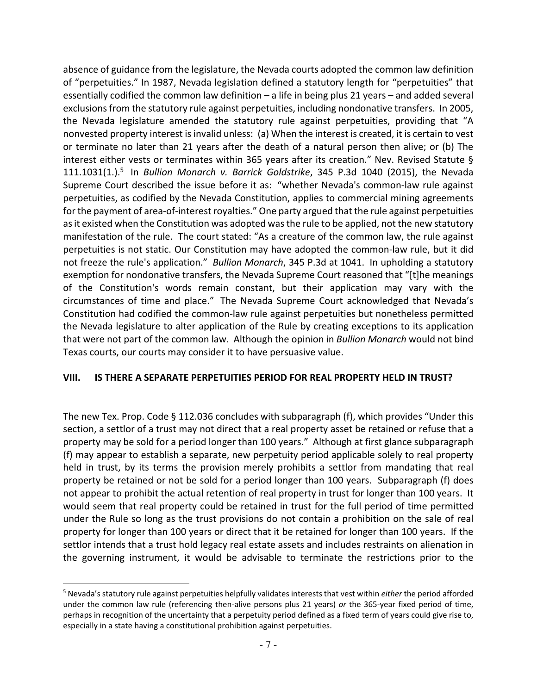absence of guidance from the legislature, the Nevada courts adopted the common law definition of "perpetuities." In 1987, Nevada legislation defined a statutory length for "perpetuities" that essentially codified the common law definition – a life in being plus 21 years – and added several exclusions from the statutory rule against perpetuities, including nondonative transfers. In 2005, the Nevada legislature amended the statutory rule against perpetuities, providing that "A nonvested property interest isinvalid unless: (a) When the interest is created, it is certain to vest or terminate no later than 21 years after the death of a natural person then alive; or (b) The interest either vests or terminates within 365 years after its creation." Nev. Revised Statute § 111.1031(1.).5 In *Bullion Monarch v. Barrick Goldstrike*, 345 P.3d 1040 (2015), the Nevada Supreme Court described the issue before it as: "whether Nevada's common-law rule against perpetuities, as codified by the Nevada Constitution, applies to commercial mining agreements for the payment of area-of-interest royalties." One party argued that the rule against perpetuities as it existed when the Constitution was adopted was the rule to be applied, not the new statutory manifestation of the rule. The court stated: "As a creature of the common law, the rule against perpetuities is not static. Our Constitution may have adopted the common‐law rule, but it did not freeze the rule's application." *Bullion Monarch*, 345 P.3d at 1041. In upholding a statutory exemption for nondonative transfers, the Nevada Supreme Court reasoned that "[t]he meanings of the Constitution's words remain constant, but their application may vary with the circumstances of time and place." The Nevada Supreme Court acknowledged that Nevada's Constitution had codified the common‐law rule against perpetuities but nonetheless permitted the Nevada legislature to alter application of the Rule by creating exceptions to its application that were not part of the common law. Although the opinion in *Bullion Monarch* would not bind Texas courts, our courts may consider it to have persuasive value.

#### **VIII. IS THERE A SEPARATE PERPETUITIES PERIOD FOR REAL PROPERTY HELD IN TRUST?**

The new Tex. Prop. Code § 112.036 concludes with subparagraph (f), which provides "Under this section, a settlor of a trust may not direct that a real property asset be retained or refuse that a property may be sold for a period longer than 100 years." Although at first glance subparagraph (f) may appear to establish a separate, new perpetuity period applicable solely to real property held in trust, by its terms the provision merely prohibits a settlor from mandating that real property be retained or not be sold for a period longer than 100 years. Subparagraph (f) does not appear to prohibit the actual retention of real property in trust for longer than 100 years. It would seem that real property could be retained in trust for the full period of time permitted under the Rule so long as the trust provisions do not contain a prohibition on the sale of real property for longer than 100 years or direct that it be retained for longer than 100 years. If the settlor intends that a trust hold legacy real estate assets and includes restraints on alienation in the governing instrument, it would be advisable to terminate the restrictions prior to the

<sup>5</sup> Nevada's statutory rule against perpetuities helpfully validates intereststhat vest within *either* the period afforded under the common law rule (referencing then-alive persons plus 21 years) *or* the 365-year fixed period of time, perhaps in recognition of the uncertainty that a perpetuity period defined as a fixed term of years could give rise to, especially in a state having a constitutional prohibition against perpetuities.